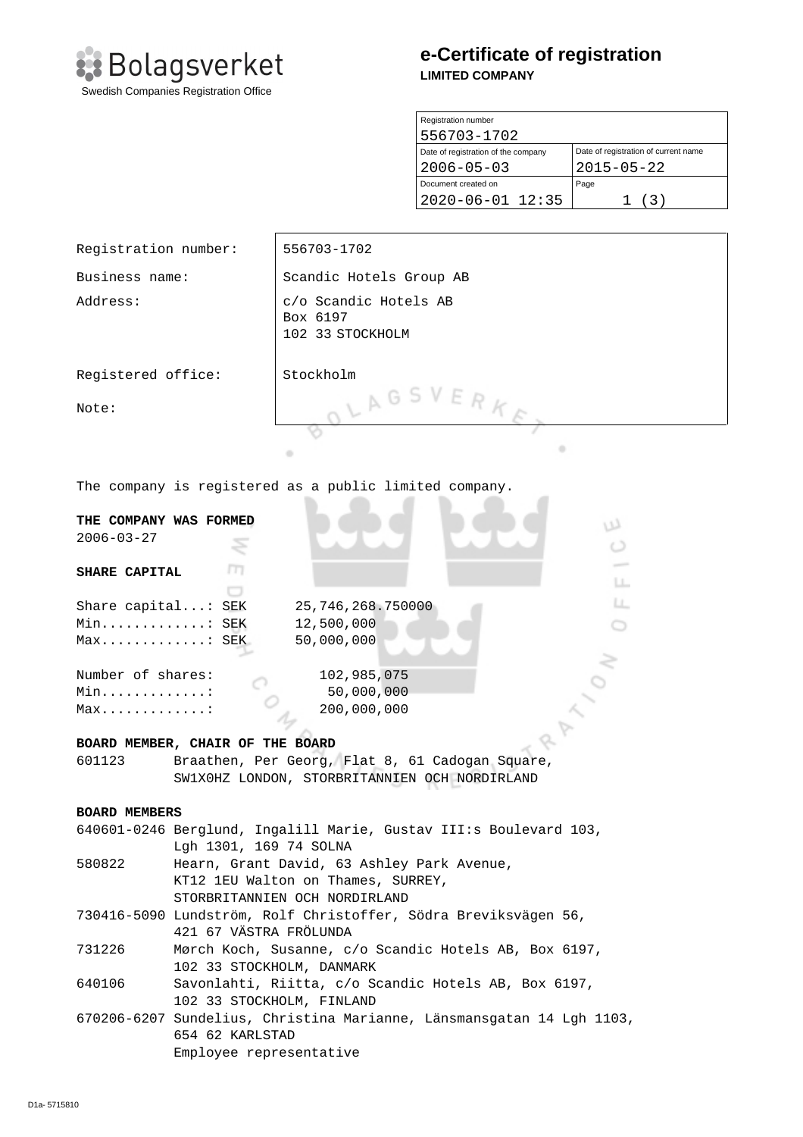

# **e-Certificate of registration LIMITED COMPANY**

| Registration number                 |                                      |  |  |
|-------------------------------------|--------------------------------------|--|--|
| 556703-1702                         |                                      |  |  |
| Date of registration of the company | Date of registration of current name |  |  |
| $2006 - 05 - 03$                    | $2015 - 05 - 22$                     |  |  |
| Document created on                 | Page                                 |  |  |
| $2020 - 06 - 01$ 12:35              | (3)                                  |  |  |

| Registration number:                                                                        |                                                                                 | 556703-1702                                           |  |  |
|---------------------------------------------------------------------------------------------|---------------------------------------------------------------------------------|-------------------------------------------------------|--|--|
| Business name:                                                                              |                                                                                 | Scandic Hotels Group AB                               |  |  |
| Address:                                                                                    |                                                                                 | c/o Scandic Hotels AB<br>Box 6197<br>102 33 STOCKHOLM |  |  |
| Registered office:                                                                          |                                                                                 | Stockholm                                             |  |  |
| Note:                                                                                       |                                                                                 | LAGSVERK                                              |  |  |
|                                                                                             |                                                                                 | ٠<br>۰                                                |  |  |
| The company is registered as a public limited company.                                      |                                                                                 |                                                       |  |  |
|                                                                                             |                                                                                 |                                                       |  |  |
| THE COMPANY WAS FORMED<br>w<br>$2006 - 03 - 27$                                             |                                                                                 |                                                       |  |  |
|                                                                                             |                                                                                 |                                                       |  |  |
| m<br><b>SHARE CAPITAL</b>                                                                   |                                                                                 |                                                       |  |  |
|                                                                                             |                                                                                 | LL.                                                   |  |  |
| u.<br>Share capital: SEK<br>25,746,268.750000                                               |                                                                                 |                                                       |  |  |
| Min: SEK<br>12,500,000                                                                      |                                                                                 |                                                       |  |  |
| 50,000,000<br>Max: SEK                                                                      |                                                                                 |                                                       |  |  |
| Number of shares:<br>102,985,075                                                            |                                                                                 |                                                       |  |  |
| 50,000,000<br>Min. :                                                                        |                                                                                 |                                                       |  |  |
| 200,000,000<br>$Max.$                                                                       |                                                                                 |                                                       |  |  |
|                                                                                             |                                                                                 |                                                       |  |  |
| BOARD MEMBER, CHAIR OF THE BOARD                                                            |                                                                                 |                                                       |  |  |
|                                                                                             | Braathen, Per Georg, Flat 8, 61 Cadogan Square,<br>601123                       |                                                       |  |  |
| SW1X0HZ LONDON, STORBRITANNIEN OCH NORDIRLAND                                               |                                                                                 |                                                       |  |  |
| <b>BOARD MEMBERS</b>                                                                        |                                                                                 |                                                       |  |  |
|                                                                                             | 640601-0246 Berglund, Ingalill Marie, Gustav III:s Boulevard 103,               |                                                       |  |  |
|                                                                                             | Lgh 1301, 169 74 SOLNA                                                          |                                                       |  |  |
| 580822                                                                                      | Hearn, Grant David, 63 Ashley Park Avenue,                                      |                                                       |  |  |
|                                                                                             |                                                                                 | KT12 1EU Walton on Thames, SURREY,                    |  |  |
|                                                                                             | STORBRITANNIEN OCH NORDIRLAND                                                   |                                                       |  |  |
|                                                                                             | 730416-5090 Lundström, Rolf Christoffer, Södra Breviksvägen 56,                 |                                                       |  |  |
| 731226                                                                                      | 421 67 VÄSTRA FRÖLUNDA<br>Mørch Koch, Susanne, c/o Scandic Hotels AB, Box 6197, |                                                       |  |  |
|                                                                                             |                                                                                 |                                                       |  |  |
| 102 33 STOCKHOLM, DANMARK<br>Savonlahti, Riitta, c/o Scandic Hotels AB, Box 6197,<br>640106 |                                                                                 |                                                       |  |  |
|                                                                                             |                                                                                 | 102 33 STOCKHOLM, FINLAND                             |  |  |
|                                                                                             | 670206-6207 Sundelius, Christina Marianne, Länsmansgatan 14 Lgh 1103,           |                                                       |  |  |

670206-6207 Sundelius, Christina Marianne, Länsmansgatan 14 Lgh 1103, 654 62 KARLSTAD Employee representative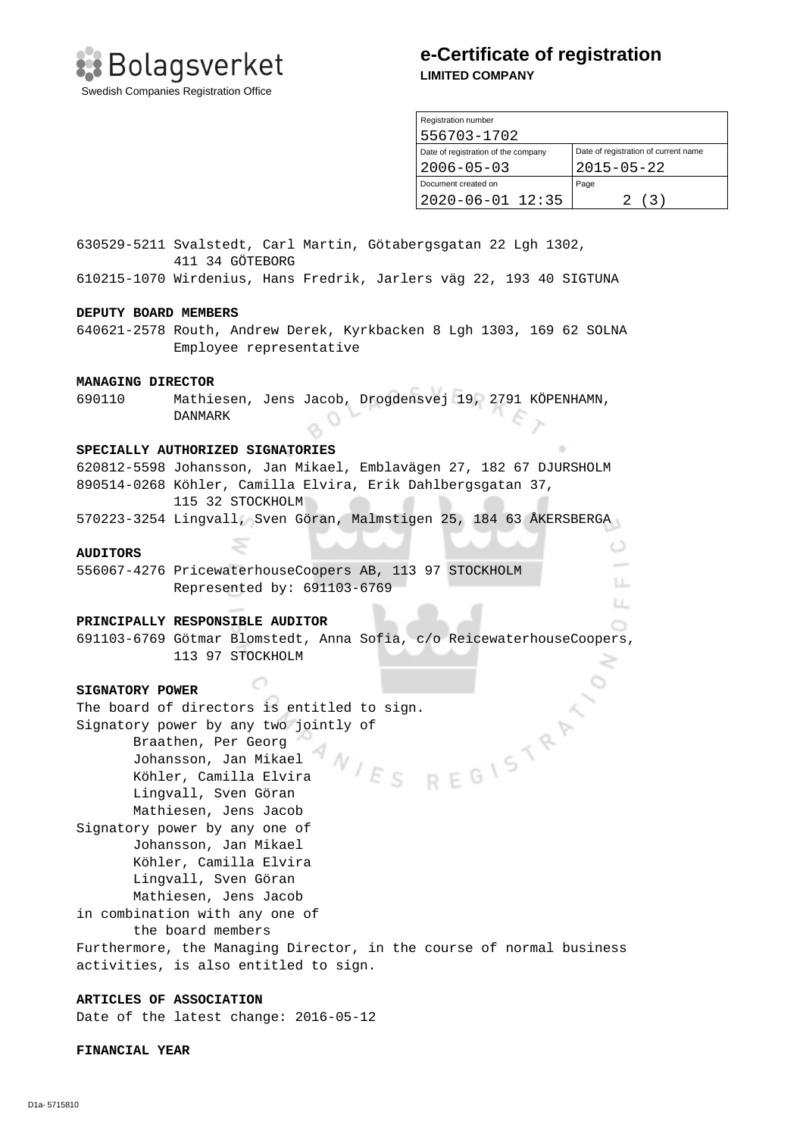**: Bolagsverket** Swedish Companies Registration Office

## **e-Certificate of registration LIMITED COMPANY**

| Registration number                 |                                      |  |  |
|-------------------------------------|--------------------------------------|--|--|
| 556703-1702                         |                                      |  |  |
| Date of registration of the company | Date of registration of current name |  |  |
| $2006 - 05 - 03$                    | $2015 - 05 - 22$                     |  |  |
| Document created on                 | Page                                 |  |  |
| $2020 - 06 - 01$ 12:35              | 2 (3)                                |  |  |

 $\circ$ 

LL. LL.  $\cap$ 

630529-5211 Svalstedt, Carl Martin, Götabergsgatan 22 Lgh 1302, 411 34 GÖTEBORG

610215-1070 Wirdenius, Hans Fredrik, Jarlers väg 22, 193 40 SIGTUNA

#### **DEPUTY BOARD MEMBERS**

640621-2578 Routh, Andrew Derek, Kyrkbacken 8 Lgh 1303, 169 62 SOLNA Employee representative

#### **MANAGING DIRECTOR**

690110 Mathiesen, Jens Jacob, Drogdensvej 19, 2791 KÖPENHAMN, DANMARK

#### **SPECIALLY AUTHORIZED SIGNATORIES**

620812-5598 Johansson, Jan Mikael, Emblavägen 27, 182 67 DJURSHOLM 890514-0268 Köhler, Camilla Elvira, Erik Dahlbergsgatan 37, 115 32 STOCKHOLM

570223-3254 Lingvall, Sven Göran, Malmstigen 25, 184 63 ÅKERSBERGA

### **AUDITORS**

556067-4276 PricewaterhouseCoopers AB, 113 97 STOCKHOLM Represented by: 691103-6769

#### **PRINCIPALLY RESPONSIBLE AUDITOR**

- 0

691103-6769 Götmar Blomstedt, Anna Sofia, c/o ReicewaterhouseCoopers, 113 97 STOCKHOLM

#### **SIGNATORY POWER**

The board of directors is entitled to sign.<br>Signatory power by any two jointly of<br>Braathen, Per Georg<br>Johansson, Jan Mikael<br>Köhler, Camilla Elvira<br>Lingvall, Syre Signatory power by any two jointly of Braathen, Per Georg Johansson, Jan Mikael Εs Köhler, Camilla Elvira Lingvall, Sven Göran Mathiesen, Jens Jacob Signatory power by any one of Johansson, Jan Mikael Köhler, Camilla Elvira Lingvall, Sven Göran Mathiesen, Jens Jacob in combination with any one of the board members Furthermore, the Managing Director, in the course of normal business activities, is also entitled to sign.

### **ARTICLES OF ASSOCIATION**

Date of the latest change: 2016-05-12

#### **FINANCIAL YEAR**